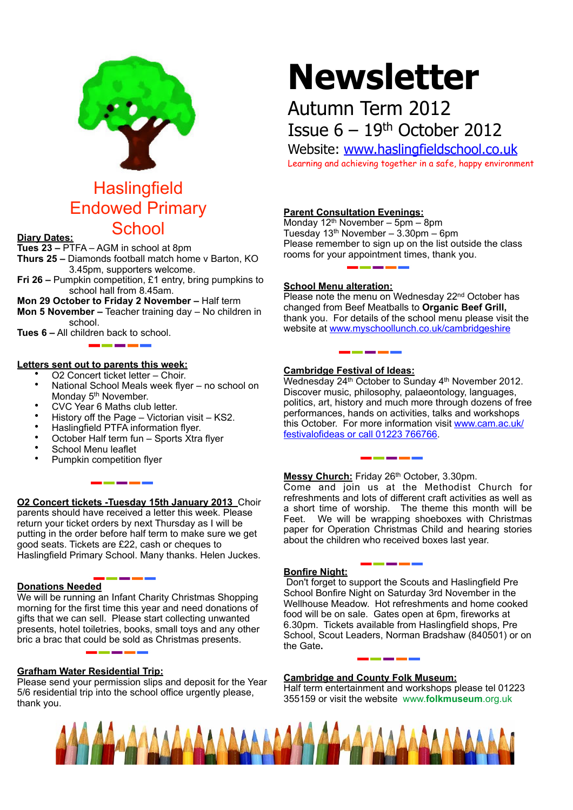

# **Haslingfield** Endowed Primary School **Diary Dates:**

**Tues 23 –** PTFA – AGM in school at 8pm

**Thurs 25 –** Diamonds football match home v Barton, KO 3.45pm, supporters welcome.

**Fri 26 –** Pumpkin competition, £1 entry, bring pumpkins to school hall from 8.45am.

**Mon 29 October to Friday 2 November –** Half term **Mon 5 November –** Teacher training day – No children in school.

**Tues 6 –** All children back to school.

#### **Letters sent out to parents this week:**

- O2 Concert ticket letter Choir.
- National School Meals week flyer no school on Monday 5<sup>th</sup> November.
- CVC Year 6 Maths club letter.
- History off the Page Victorian visit KS2.
- Haslingfield PTFA information flyer.
- October Half term fun Sports Xtra flyer

\_\_\_\_\_

- School Menu leaflet
- Pumpkin competition flyer

#### **O2 Concert tickets -Tuesday 15th January 2013** Choir parents should have received a letter this week. Please return your ticket orders by next Thursday as I will be putting in the order before half term to make sure we get good seats. Tickets are £22, cash or cheques to Haslingfield Primary School. Many thanks. Helen Juckes.

#### **Donations Needed**

We will be running an Infant Charity Christmas Shopping morning for the first time this year and need donations of gifts that we can sell. Please start collecting unwanted presents, hotel toiletries, books, small toys and any other bric a brac that could be sold as Christmas presents.

#### **Grafham Water Residential Trip:**

Please send your permission slips and deposit for the Year 5/6 residential trip into the school office urgently please, thank you.

# **Newsletter**

## Autumn Term 2012 Issue  $6 - 19$ <sup>th</sup> October 2012

Website: [www.haslingfieldschool.co.uk](http://www.haslingfieldschool.co.uk) Learning and achieving together in a safe, happy environment

### **Parent Consultation Evenings:**

Monday 12th November – 5pm – 8pm Tuesday 13th November – 3.30pm – 6pm Please remember to sign up on the list outside the class rooms for your appointment times, thank you.

#### **School Menu alteration:**

Please note the menu on Wednesday 22<sup>nd</sup> October has changed from Beef Meatballs to **Organic Beef Grill,**  thank you. For details of the school menu please visit the website at [www.myschoollunch.co.uk/cambridgeshire](http://www.myschoollunch.co.uk/cambridgeshire)

#### **Cambridge Festival of Ideas:**

Wednesday 24<sup>th</sup> October to Sunday 4<sup>th</sup> November 2012. Discover music, philosophy, palaeontology, languages, politics, art, history and much more through dozens of free performances, hands on activities, talks and workshops this October. For more information visit [www.cam.ac.uk/](http://livepage.apple.com/) [festivalofideas or call 01223 766766](http://livepage.apple.com/).

**Messy Church:** Friday 26th October, 3.30pm. Come and join us at the Methodist Church for refreshments and lots of different craft activities as well as a short time of worship. The theme this month will be Feet. We will be wrapping shoeboxes with Christmas paper for Operation Christmas Child and hearing stories about the children who received boxes last year.

#### **Bonfire Night:**

Don't forget to support the Scouts and Haslingfield Pre School Bonfire Night on Saturday 3rd November in the Wellhouse Meadow. Hot refreshments and home cooked food will be on sale. Gates open at 6pm, fireworks at 6.30pm. Tickets available from Haslingfield shops, Pre School, Scout Leaders, Norman Bradshaw (840501) or on the Gate**.**

----

#### **Cambridge and County Folk Museum:**

Half term entertainment and workshops please tel 01223 355159 or visit the website www.**folkmuseum**.org.uk